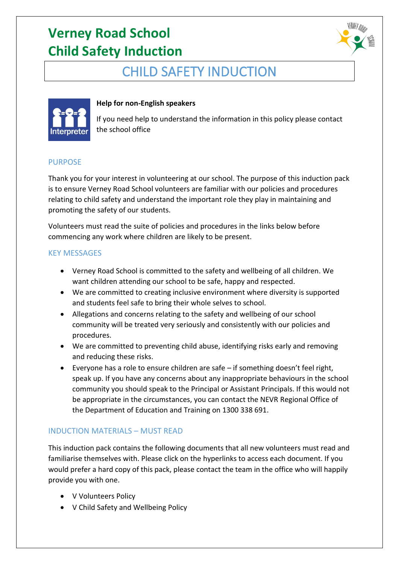# **Verney Road School Child Safety Induction**



### CHILD SAFETY INDUCTION



#### **Help for non-English speakers**

If you need help to understand the information in this policy please contact the school office

#### PURPOSE

Thank you for your interest in volunteering at our school. The purpose of this induction pack is to ensure Verney Road School volunteers are familiar with our policies and procedures relating to child safety and understand the important role they play in maintaining and promoting the safety of our students.

Volunteers must read the suite of policies and procedures in the links below before commencing any work where children are likely to be present.

#### KEY MESSAGES

- Verney Road School is committed to the safety and wellbeing of all children. We want children attending our school to be safe, happy and respected.
- We are committed to creating inclusive environment where diversity is supported and students feel safe to bring their whole selves to school.
- Allegations and concerns relating to the safety and wellbeing of our school community will be treated very seriously and consistently with our policies and procedures.
- We are committed to preventing child abuse, identifying risks early and removing and reducing these risks.
- Everyone has a role to ensure children are safe if something doesn't feel right, speak up. If you have any concerns about any inappropriate behaviours in the school community you should speak to the Principal or Assistant Principals. If this would not be appropriate in the circumstances, you can contact the NEVR Regional Office of the Department of Education and Training on 1300 338 691.

#### INDUCTION MATERIALS – MUST READ

This induction pack contains the following documents that all new volunteers must read and familiarise themselves with. Please click on the hyperlinks to access each document. If you would prefer a hard copy of this pack, please contact the team in the office who will happily provide you with one.

- V Volunteers Policy
- V Child Safety and Wellbeing Policy